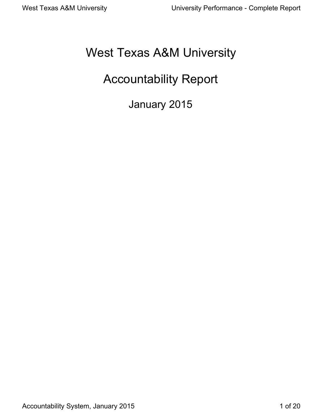# West Texas A&M University

# Accountability Report

January 2015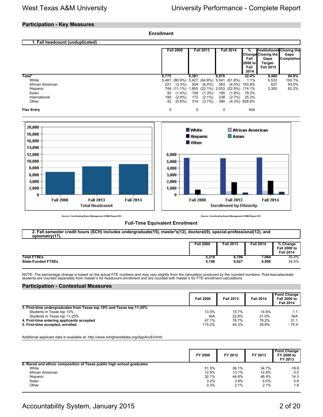### **Participation - Key Measures**

|                                                                                                         | <b>Enrollment</b>                                                                                        |                                                                                                                                                                           |                                                                            |                                                                                |                                                                                        |                         |
|---------------------------------------------------------------------------------------------------------|----------------------------------------------------------------------------------------------------------|---------------------------------------------------------------------------------------------------------------------------------------------------------------------------|----------------------------------------------------------------------------|--------------------------------------------------------------------------------|----------------------------------------------------------------------------------------|-------------------------|
| 1. Fall headcount (unduplicated)                                                                        |                                                                                                          |                                                                                                                                                                           |                                                                            |                                                                                |                                                                                        |                         |
|                                                                                                         | <b>Fall 2000</b>                                                                                         | <b>Fall 2013</b>                                                                                                                                                          | <b>Fall 2014</b>                                                           | %<br><b>Change Closing the</b><br>Fall<br>2000 to<br>Fall<br>2014              | Institutional Closing the<br>Gaps<br>Gaps<br>Completion<br>Target-<br><b>Fall 2015</b> |                         |
| Total*<br>White<br>African American<br>Hispanic<br>Asian<br>International<br>Other<br><b>Flex Entry</b> | 6,775<br>5,481<br>221<br>$(3.3\%)$<br>749<br>92<br>$(1.4\%)$<br>$(2.8\%)$<br>190<br>42<br>$(0.6\%)$<br>0 | 8,381<br>(80.9%) 5,427 (64.8%) 5,541 (61.8%)<br>504 (6.0%)<br>(11.1%) 1,855 (22.1%) 2,053 (22.9%) 174.1%<br>109<br>$(1.3\%)$<br>172<br>$(2.1\%)$<br>314<br>$(3.7\%)$<br>0 | 8,970<br>583<br>165<br>$(1.8\%)$<br>238<br>$(2.7\%)$<br>390<br>$\mathbf 0$ | 32.4%<br>1.1%<br>$(6.5\%)$ 163.8%<br>79.3%<br>25.3%<br>$(4.3\%)$ 828.6%<br>N/A | 9,460<br>100.1%<br>5,533<br>627<br>3,300                                               | 94.8%<br>93.0%<br>62.2% |
| 20,000<br>18,000<br>16,000<br>$14,000 -$<br>12,000<br>$40.000 -$                                        | 6,000<br>$E = 0.00 -$                                                                                    | <b>White</b><br><b>Hispanic</b><br><b>Other</b>                                                                                                                           | $\Box$ Asian                                                               | African American                                                               |                                                                                        |                         |



**Source: Coordinating Board Management (CBM) Report 001 Source: Coordinating Board Management (CBM) Report 001**

**Fall 2014** 

### **Full-Time Equivalent Enrollment**

| 2. Fall semester credit hours (SCH) includes undergraduate(15), master's(12), doctoral(9), special-professional(12), and<br>optometry(17). |                  |                  |                  |                                                     |  |  |  |  |  |
|--------------------------------------------------------------------------------------------------------------------------------------------|------------------|------------------|------------------|-----------------------------------------------------|--|--|--|--|--|
|                                                                                                                                            | <b>Fall 2000</b> | <b>Fall 2013</b> | <b>Fall 2014</b> | % Change<br><b>Fall 2000 to</b><br><b>Fall 2014</b> |  |  |  |  |  |
| <b>Total FTSEs</b><br><b>State-Funded FTSEs</b>                                                                                            | 5.218<br>5.198   | 6.706<br>6.627   | 7.064<br>6.989   | 35.4%<br>34.5%                                      |  |  |  |  |  |

NOTE: The percentage change is based on the actual FTE numbers and may vary slightly from the calculation produced by the rounded numbers. Post-baccalaureate<br>students are counted separately from master's for headcount enro

### **Participation - Contextual Measures**

|                                                                      | <b>Fall 2000</b> | <b>Fall 2013</b> | <b>Fall 2014</b> | <b>Point Change</b><br><b>Fall 2000 to</b><br><b>Fall 2014</b> |
|----------------------------------------------------------------------|------------------|------------------|------------------|----------------------------------------------------------------|
| 3. First-time undergraduates from Texas top 10% and Texas top 11-25% |                  |                  |                  |                                                                |
| Students in Texas top 10%                                            | 13.5%            | 15.7%            | 14.6%            |                                                                |
| Students in Texas top 11-25%                                         | N/A              | 22.8%            | 21.0%            | N/A                                                            |
| 4. First-time entering applicants accepted                           | 47.1%            | 76.7%            | 78.2%            | 31.1                                                           |
| 5. First-time accepted, enrolled                                     | 115.2%           | 44.3%            | 39.8%            | $-75.4$                                                        |

Additional applicant data is available at: http://www.txhighereddata.org/AppAccEnrInfo

|                                                                        | FY 2000 | FY 2012 | FY 2013 | <b>Point Change</b><br>FY 2000 to<br>FY 2013 |
|------------------------------------------------------------------------|---------|---------|---------|----------------------------------------------|
| 6. Racial and ethnic composition of Texas public high school graduates |         |         |         |                                              |
| White                                                                  | 51.5%   | 36.1%   | 34.7%   | $-16.8$                                      |
| African American                                                       | 12.9%   | 13.1%   | 12.9%   | 0.0                                          |
| Hispanic                                                               | 32.1%   | 44.8%   | 46.4%   | 14.3                                         |
| Asian                                                                  | 3.2%    | 3.9%    | 4.0%    | 0.8                                          |
| Other                                                                  | 0.3%    | 2.1%    | 2.1%    | 1.8                                          |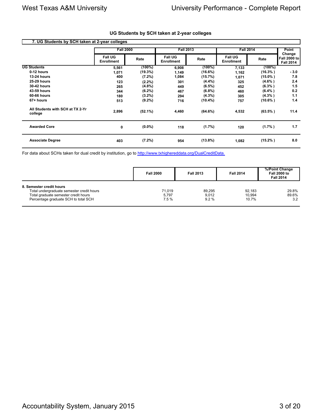| 7. UG Students by SCH taken at 2-year colleges |                                     |            |                                     |            |                                     |            |                                            |
|------------------------------------------------|-------------------------------------|------------|-------------------------------------|------------|-------------------------------------|------------|--------------------------------------------|
|                                                | <b>Fall 2000</b>                    |            | <b>Fall 2013</b>                    |            | <b>Fall 2014</b>                    | Point      |                                            |
|                                                | <b>Fall UG</b><br><b>Enrollment</b> | Rate       | <b>Fall UG</b><br><b>Enrollment</b> | Rate       | <b>Fall UG</b><br><b>Enrollment</b> | Rate       | Change<br>Fall 2000 to<br><b>Fall 2014</b> |
| <b>UG Students</b>                             | 5,561                               | $(100\%)$  | 6,908                               | $(100\%)$  | 7,133                               | $(100\%)$  |                                            |
| 0-12 hours                                     | 1,071                               | (19.3%)    | 1,149                               | (16.6%)    | 1,162                               | $(16.3\%)$ | $-3.0$                                     |
| <b>13-24 hours</b>                             | 400                                 | $(7.2\%)$  | 1,084                               | (15.7%)    | 1,071                               | $(15.0\%)$ | 7.8                                        |
| <b>25-29 hours</b>                             | 123                                 | $(2.2\%)$  | 301                                 | $(4.4\%)$  | 325                                 | $(4.6\%)$  | 2.4                                        |
| <b>30-42 hours</b>                             | 265                                 | $(4.8\%)$  | 449                                 | $(6.5\%)$  | 452                                 | $(6.3\%)$  | 1.5                                        |
| 43-59 hours                                    | 344                                 | $(6.2\%)$  | 467                                 | $(6.8\%)$  | 460                                 | $(6.4\%)$  | 0.2                                        |
| 60-66 hours                                    | 180                                 | $(3.2\%)$  | 294                                 | $(4.3\%)$  | 305                                 | $(4.3\%)$  | 1.1                                        |
| 67+ hours                                      | 513                                 | $(9.2\%)$  | 716                                 | $(10.4\%)$ | 757                                 | $(10.6\%)$ | 1.4                                        |
| All Students with SCH at TX 2-Yr<br>college    | 2,896                               | $(52.1\%)$ | 4,460                               | (64.6%)    | 4,532                               | $(63.5\%)$ | 11.4                                       |
| <b>Awarded Core</b>                            | 0                                   | $(0.0\%)$  | 118                                 | (1.7%)     | 120                                 | $(1.7\%)$  | 1.7                                        |
| <b>Associate Degree</b>                        | 403                                 | $(7.2\%)$  | 954                                 | $(13.8\%)$ | 1,082                               | $(15.2\%)$ | 8.0                                        |

### **UG Students by SCH taken at 2-year colleges**

For data about SCHs taken for dual credit by institution, go to [http://www.txhighereddata.org/DualCreditData.](http://www.txhighereddata.org/DualCreditData)

|                                                                                                                                                       | <b>Fall 2000</b>        | <b>Fall 2013</b>        | <b>Fall 2014</b>          | %/Point Change<br><b>Fall 2000 to</b><br><b>Fall 2014</b> |
|-------------------------------------------------------------------------------------------------------------------------------------------------------|-------------------------|-------------------------|---------------------------|-----------------------------------------------------------|
| 8. Semester credit hours<br>Total undergraduate semester credit hours<br>Total graduate semester credit hours<br>Percentage graduate SCH to total SCH | 71.019<br>5.797<br>7.5% | 89.295<br>9.012<br>9.2% | 92.183<br>10.994<br>10.7% | 29.8%<br>89.6%<br>3.2                                     |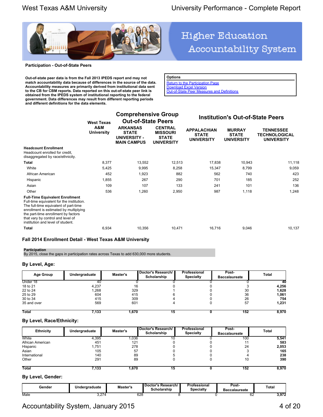

### **Participation - Out-of-State Peers**

**Out-of-state peer data is from the Fall 2013 IPEDS report and may not match accountability data because of differences in the source of the data. Accountability measures are primarily derived from institutional data sent to the CB for CBM reports. Data reported on this out-of-state peer link is obtained from the IPEDS system of institutional reporting to the federal government. Data differences may result from different reporting periods and different definitions for the data elements.**

# **Higher Education** Accountability System

**Options [Return to the Participation Page](http://www.txhighereddata.org/Interactive/Accountability/UNIV_Participation.cfm?FICE=003665)** 

[Download Excel Version](http://www.txhighereddata.org/Interactive/Accountability/UNIV_Participation_Peers.cfm?FICE=003665&Excel=1)

[Out-of-State Peer Measures and Definitions](http://www.txhighereddata.org/Interactive/Accountability/UNIVS_OOSDef.pdf)

|                                                                                                                                                                                                                                                                                         | <b>West Texas</b><br>A&M<br>University | <b>Comprehensive Group</b><br><b>Out-of-State Peers</b>               |                                                                        |                                                         | <b>Institution's Out-of-State Peers</b>            |                                                        |  |  |
|-----------------------------------------------------------------------------------------------------------------------------------------------------------------------------------------------------------------------------------------------------------------------------------------|----------------------------------------|-----------------------------------------------------------------------|------------------------------------------------------------------------|---------------------------------------------------------|----------------------------------------------------|--------------------------------------------------------|--|--|
|                                                                                                                                                                                                                                                                                         |                                        | <b>ARKANSAS</b><br><b>STATE</b><br>UNIVERSITY -<br><b>MAIN CAMPUS</b> | <b>CENTRAL</b><br><b>MISSOURI</b><br><b>STATE</b><br><b>UNIVERSITY</b> | <b>APPALACHIAN</b><br><b>STATE</b><br><b>UNIVERSITY</b> | <b>MURRAY</b><br><b>STATE</b><br><b>UNIVERSITY</b> | <b>TENNESSEE</b><br>TECHNOLOGICAL<br><b>UNIVERSITY</b> |  |  |
| <b>Headcount Enrollment</b><br>Headcount enrolled for credit.<br>disaggregated by race/ethnicity.                                                                                                                                                                                       |                                        |                                                                       |                                                                        |                                                         |                                                    |                                                        |  |  |
| Total                                                                                                                                                                                                                                                                                   | 8,377                                  | 13,552                                                                | 12,513                                                                 | 17,838                                                  | 10,943                                             | 11,118                                                 |  |  |
| White                                                                                                                                                                                                                                                                                   | 5,425                                  | 9,995                                                                 | 8,258                                                                  | 15,347                                                  | 8,799                                              | 9,059                                                  |  |  |
| African American                                                                                                                                                                                                                                                                        | 452                                    | 1,923                                                                 | 882                                                                    | 562                                                     | 740                                                | 423                                                    |  |  |
| Hispanic                                                                                                                                                                                                                                                                                | 1,855                                  | 267                                                                   | 290                                                                    | 701                                                     | 185                                                | 252                                                    |  |  |
| Asian                                                                                                                                                                                                                                                                                   | 109                                    | 107                                                                   | 133                                                                    | 241                                                     | 101                                                | 136                                                    |  |  |
| Other                                                                                                                                                                                                                                                                                   | 536                                    | 1,260                                                                 | 2,950                                                                  | 987                                                     | 1,118                                              | 1,248                                                  |  |  |
| <b>Full-Time Equivalent Enrollment</b><br>Full-time equivalent for the institution.<br>The full-time equivalent of part-time<br>enrollment is estimated by multiplying<br>the part-time enrollment by factors<br>that vary by control and level of<br>institution and level of student. |                                        |                                                                       |                                                                        |                                                         |                                                    |                                                        |  |  |
| Total                                                                                                                                                                                                                                                                                   | 6,934                                  | 10,356                                                                | 10,471                                                                 | 16,716                                                  | 9,046                                              | 10,137                                                 |  |  |
|                                                                                                                                                                                                                                                                                         |                                        |                                                                       |                                                                        |                                                         |                                                    |                                                        |  |  |

### **Fall 2014 Enrollment Detail - West Texas A&M University**

### **Participation**

By 2015, close the gaps in participation rates across Texas to add 630,000 more students.

### **By Level, Age:**

| Age Group    | Undergraduate | Master's | Doctor's Research/<br>Scholarship | Professional<br><b>Specialty</b> | Post-<br><b>Baccalaureate</b> | Total |
|--------------|---------------|----------|-----------------------------------|----------------------------------|-------------------------------|-------|
| Under 18     | 40            |          |                                   |                                  |                               | 40    |
| 18 to 21     | 4.237         | 16       |                                   |                                  |                               | 4,256 |
| 22 to 24     | 1,268         | 329      |                                   |                                  | 30                            | 1,628 |
| 25 to 29     | 604           | 415      |                                   |                                  | 36                            | 1,061 |
| 30 to 34     | 415           | 309      |                                   |                                  | 26                            | 754   |
| 35 and over  | 569           | 601      |                                   |                                  | 57                            | 1,231 |
| <b>Total</b> | 7,133         | 1,670    | 15                                |                                  | 152                           | 8,970 |

### **By Level, Race/Ethnicity:**

| <b>Ethnicity</b> | Undergraduate | Doctor's Research/<br>Master's<br>Scholarship |  | Professional<br><b>Specialty</b> | Post-<br><b>Baccalaureate</b> | Total |
|------------------|---------------|-----------------------------------------------|--|----------------------------------|-------------------------------|-------|
| White            | 4,395         | .036                                          |  |                                  | 100                           | 5,541 |
| African American | 451           | 121                                           |  |                                  |                               | 583   |
| Hispanic         | 1,751         | 278                                           |  |                                  | 24                            | 2,053 |
| Asian            | 105           | 57                                            |  |                                  |                               | 165   |
| International    | 140           | 89                                            |  |                                  |                               | 238   |
| Other            | 291           | 89                                            |  |                                  | 10                            | 390   |
| <b>Total</b>     | 7,133         | ,670                                          |  |                                  | 152                           | 8,970 |

### **By Level, Gender:**

| Gender | . .<br>Underaraduate                     | Master's    | Doctor's<br>. Research/ I<br>. .<br>Scholarship | Professional<br>Specialtv | Post-<br><b>Baccalaureate</b> | Total                   |
|--------|------------------------------------------|-------------|-------------------------------------------------|---------------------------|-------------------------------|-------------------------|
| Male   | $\overline{\phantom{a}}$<br><b>U.LI-</b> | 628<br>$ -$ |                                                 |                           | ◡∠                            | $\sqrt{272}$<br>ง.ง เ 4 |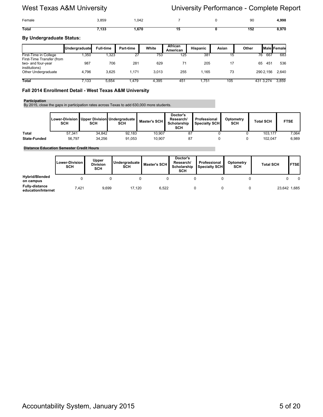| Female       | 3,859 | ,042  |  | 90  | 4,998 |
|--------------|-------|-------|--|-----|-------|
| <b>Total</b> | 7,133 | .,670 |  | 152 | 8,970 |

### **By Undergraduate Status:**

|                                                                  | Undergraduate | <b>Full-time</b> | <b>Part-time</b> | White | African<br>American | <b>Hispanic</b> | Asian | Other     |     | <b>IMale Female</b> |
|------------------------------------------------------------------|---------------|------------------|------------------|-------|---------------------|-----------------|-------|-----------|-----|---------------------|
| First-Time in College                                            | ,350          | .323             | 27               | 753   | 125                 | 381             | 15    | 76        | 667 | 683                 |
| First-Time Transfer (from<br>two- and four-year<br>institutions) | 987           | 706              | 281              | 629   |                     | 205             | 17    | 65        | 451 | 536                 |
| Other Undergraduate                                              | 4.796         | 3.625            | 1.171            | 3.013 | 255                 | 1.165           | 73    | 290 2.156 |     | 2,640               |
| <b>Total</b>                                                     | 7,133         | 5.654            | .479             | 4.395 | 451                 | .751            | 105   | 431 3.274 |     | 3.859               |

### **Fall 2014 Enrollment Detail - West Texas A&M University**

### **Participation**

By 2015, close the gaps in participation rates across Texas to add 630,000 more students.

|                     | <b>SCH</b> | SCH    | Lower-Division   Upper Division  Undergraduate  <br>SCH | Master's SCH I | Doctor's<br>Research/<br>Scholarship<br>SCH | Professional<br><b>I</b> Specialty SCHI | Optometry<br><b>SCH</b> | <b>Total SCH</b> | <b>FTSE</b> |
|---------------------|------------|--------|---------------------------------------------------------|----------------|---------------------------------------------|-----------------------------------------|-------------------------|------------------|-------------|
| <b>Total</b>        | 57.341     | 34.842 | 92.183                                                  | 10.907         | 87                                          |                                         |                         | 103.177          | 7.064       |
| <b>State-Funded</b> | 56.797     | 34.256 | 91.053                                                  | 10.907         |                                             |                                         |                         | 102.047          | 6,989       |

### **Distance Education Semester Credit Hours**

|                                             | Lower-Division I<br>SCH | Upper<br><b>Division</b><br>SCH | Undergraduate<br><b>SCH</b> | Master's SCH | Doctor's<br>Research/<br>Scholarship<br><b>SCH</b> | Professional<br>Specialty SCH | Optometry<br>SCH | <b>Total SCH</b> | <b>FTSEI</b> |
|---------------------------------------------|-------------------------|---------------------------------|-----------------------------|--------------|----------------------------------------------------|-------------------------------|------------------|------------------|--------------|
| <b>Hybrid/Blended</b><br>on campus          |                         |                                 |                             |              |                                                    |                               |                  |                  | $\Omega$     |
| <b>Fully-distance</b><br>education/Internet | 7.421                   | 9,699                           | 17.120                      | 6.522        |                                                    |                               |                  |                  | 23,642 1,685 |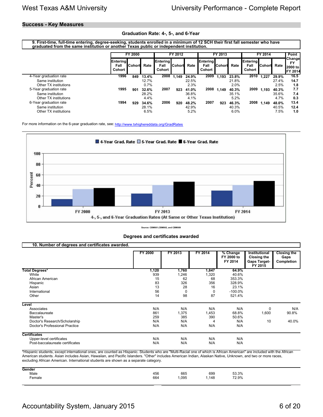### **Success - Key Measures**

### **Graduation Rate: 4-, 5-, and 6-Year**

**9. First-time, full-time entering, degree-seeking, students enrolled in a minimum of 12 SCH their first fall semester who have graduated from the same institution or another Texas public or independent institution.** 

|                        |                                           | FY 2000  |       |                                          | FY 2012 |       |                                          | FY 2013        |       | FY 2014                           |                 |       | Point                                                    |
|------------------------|-------------------------------------------|----------|-------|------------------------------------------|---------|-------|------------------------------------------|----------------|-------|-----------------------------------|-----------------|-------|----------------------------------------------------------|
|                        | <b>IEntering</b><br>Fall<br><b>Cohort</b> | lCohortl | Rate  | <b>Entering</b><br>Fall<br><b>Cohort</b> | .Cohort | Rate  | <b>Entering</b><br>Fall<br><b>Cohort</b> | <b>ICohort</b> | Rate  | <b>Entering</b><br>Fall<br>Cohort | <b>I</b> Cohort | Rate  | <b>Changel</b><br><b>FY</b><br>2000 to<br><b>FY 2014</b> |
| 4-Year graduation rate | 1996                                      | 849      | 13.4% | 2008                                     | 1.149   | 24.9% | 2009                                     | 1.193          | 23.8% | 2010                              | 1.227           | 29.9% | 16.5                                                     |
| Same institution       |                                           |          | 12.7% |                                          |         | 22.5% |                                          |                | 21.8% |                                   |                 | 27.4% | 14.7                                                     |
| Other TX institutions  |                                           |          | 0.7%  |                                          |         | 2.3%  |                                          |                | 2.0%  |                                   |                 | 2.5%  | 1.8                                                      |
| 5-Year graduation rate | 1995                                      | 901      | 32.6% | 2007                                     | 923     | 41.0% | 2008                                     | 1.149          | 40.3% | 2009                              | 1.193           | 40.3% | 7.7                                                      |
| Same institution       |                                           |          | 28.2% |                                          |         | 36.8% |                                          |                | 35.1% |                                   |                 | 35.6% | 7.4                                                      |
| Other TX institutions  |                                           |          | 4.4%  |                                          |         | 4.1%  |                                          |                | 5.2%  |                                   |                 | 4.7%  | 0.3                                                      |
| 6-Year graduation rate | 1994                                      | 929      | 34.6% | 2006                                     | 920     | 48.2% | 2007                                     | 923            | 46.3% | 2008                              | 1.149           | 48.0% | 13.4                                                     |
| Same institution       |                                           |          | 28.1% |                                          |         | 42.9% |                                          |                | 40.3% |                                   |                 | 40.5% | 12.4                                                     |
| Other TX institutions  |                                           |          | 6.5%  |                                          |         | 5.2%  |                                          |                | 6.0%  |                                   |                 | 7.5%  | 1.0                                                      |

For more information on the 6-year graduation rate, see:<http://www.txhighereddata.org/GradRates>



**Source: CBM001,CBM002, and CBM009**

**Degrees and certificates awarded**

| 10. Number of degrees and certificates awarded. |                |          |         |                                   |                                                                |                                          |
|-------------------------------------------------|----------------|----------|---------|-----------------------------------|----------------------------------------------------------------|------------------------------------------|
|                                                 | <b>FY 2000</b> | FY 2013  | FY 2014 | % Change<br>FY 2000 to<br>FY 2014 | Institutional<br>Closing the<br><b>Gaps Target-</b><br>FY 2015 | <b>Closing the</b><br>Gaps<br>Completion |
| <b>Total Degrees*</b>                           | 1,120          | 1,760    | 1,847   | 64.9%                             |                                                                |                                          |
| White                                           | 939            | 1,246    | 1,320   | 40.6%                             |                                                                |                                          |
| African American                                | 15             | 62       | 68      | 353.3%                            |                                                                |                                          |
| Hispanic                                        | 83             | 326      | 356     | 328.9%                            |                                                                |                                          |
| Asian                                           | 13             | 28       | 16      | 23.1%                             |                                                                |                                          |
| International                                   | 56             | $\Omega$ | 0       | $-100.0\%$                        |                                                                |                                          |
| Other                                           | 14             | 98       | 87      | 521.4%                            |                                                                |                                          |
| Level                                           |                |          |         |                                   |                                                                |                                          |
| Associates                                      | N/A            | N/A      | N/A     | N/A                               | 0                                                              | N/A                                      |
| Baccalaureate                                   | 861            | 1,375    | 1,453   | 68.8%                             | 1,600                                                          | 90.8%                                    |
| Master's                                        | 259            | 385      | 390     | 50.6%                             |                                                                |                                          |
| Doctor's Research/Scholarship                   | N/A            | N/A      | 4       | N/A                               | 10                                                             | 40.0%                                    |
| Doctor's Professional Practice                  | N/A            | N/A      | N/A     | N/A                               |                                                                |                                          |
| <b>Certificates</b>                             |                |          |         |                                   |                                                                |                                          |
| Upper-level certificates                        | N/A            | N/A      | N/A     | N/A                               |                                                                |                                          |
| Post-baccalaureate certificates                 | N/A            | N/A      | N/A     | N/A                               |                                                                |                                          |

\*Hispanic students, except international ones, are counted as Hispanic. Students who are "Multi-Racial one of which is African American" are included with the African American students. Asian includes Asian, Hawaiian, and Pacific Islanders. "Other" includes American Indian, Alaskan Native, Unknown, and two or more races, excluding African American. International students are shown as a separate category.

| Gender                                                         |                |
|----------------------------------------------------------------|----------------|
| Male<br>665<br>699<br>456<br>-<br>664<br>,095<br>148<br>Female | 53.3%<br>72.9% |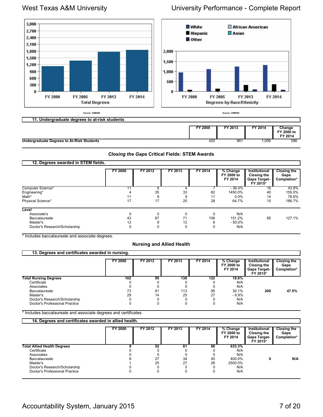

### **Undergraduate Degrees to At-Risk Students 1,006 1,006 1,006 1,006 1,006 1,006 1,006 1,006 1,006 1,006 1,006 1,006 1,006 1,006 1,006 1,006 1,006 1,006 1,006 1,006 1,006 1,006 1**

### *Closing the Gaps* **Critical Fields: STEM Awards**

| 12. Degrees awarded in STEM fields. |                |          |             |          |                                   |                                                                 |                                           |
|-------------------------------------|----------------|----------|-------------|----------|-----------------------------------|-----------------------------------------------------------------|-------------------------------------------|
|                                     | <b>FY 2000</b> | FY 2012  | FY 2013     | FY 2014  | % Change<br>FY 2000 to<br>FY 2014 | Institutional<br>Closing the<br><b>Gaps Target-</b><br>FY 2015* | <b>Closing the</b><br>Gaps<br>Completion* |
| Computer Science*<br>Engineering*   |                | 6<br>35  | 33          | 62       | $-36.4%$<br>1450.0%               | 16<br>40                                                        | 43.8%<br>155.0%                           |
| Math*                               |                | 9        | 9           | 11       | 0.0%                              | 14                                                              | 78.6%                                     |
| Physical Science*                   | 17             | 17       | 25          | 28       | 64.7%                             | 15                                                              | 186.7%                                    |
| Level                               |                |          |             |          |                                   |                                                                 |                                           |
| Associate's                         |                | 0        | 0           |          | N/A                               |                                                                 |                                           |
| Baccalaureate<br>Master's           | 43<br>12       | 67<br>9  | 71<br>12    | 108<br>6 | 151.2%<br>$-50.0\%$               | 85                                                              | 127.1%                                    |
| Doctor's Research/Scholarship       | $\Omega$       | $\Omega$ | $\mathbf 0$ | $\Omega$ | N/A                               |                                                                 |                                           |

\* Includes baccalaureate and associate degrees.

### **Nursing and Allied Health**

| 13. Degrees and certificates awarded in nursing. |                |         |         |         |                                   |                                                                 |                                           |  |  |  |  |  |
|--------------------------------------------------|----------------|---------|---------|---------|-----------------------------------|-----------------------------------------------------------------|-------------------------------------------|--|--|--|--|--|
|                                                  | <b>FY 2000</b> | FY 2012 | FY 2013 | FY 2014 | % Change<br>FY 2000 to<br>FY 2014 | Institutional<br>Closing the<br><b>Gaps Target-</b><br>FY 2015* | <b>Closing the</b><br>Gaps<br>Completion* |  |  |  |  |  |
| <b>Total Nursing Degrees</b>                     | 102            | 95      | 138     | 122     | 19.6%                             |                                                                 |                                           |  |  |  |  |  |
| Certificate                                      |                |         |         |         | N/A                               |                                                                 |                                           |  |  |  |  |  |
| Associates                                       |                |         |         |         | N/A                               |                                                                 |                                           |  |  |  |  |  |
| Baccalaureate                                    | 73             | 81      | 113     | 95      | 30.1%                             | 200                                                             | 47.5%                                     |  |  |  |  |  |
| Master's                                         | 29             | 14      | 25      | 27      | $-6.9%$                           |                                                                 |                                           |  |  |  |  |  |
| Doctor's Research/Scholarship                    |                |         |         |         | N/A                               |                                                                 |                                           |  |  |  |  |  |
| Doctor's Professional Practice                   |                |         |         |         | N/A                               |                                                                 |                                           |  |  |  |  |  |

\* Includes baccalaureate and associate degrees and certificates.

| 14. Degrees and certificates awarded in allied health. |         |         |         |         |                                   |                                                                        |                                           |
|--------------------------------------------------------|---------|---------|---------|---------|-----------------------------------|------------------------------------------------------------------------|-------------------------------------------|
|                                                        | FY 2000 | FY 2012 | FY 2013 | FY 2014 | % Change<br>FY 2000 to<br>FY 2014 | <b>Institutional</b><br>Closing the<br><b>Gaps Target-</b><br>FY 2015* | <b>Closing the</b><br>Gaps<br>Completion* |
| <b>Total Allied Health Degrees</b>                     |         | 52      | 61      | 66      | 633.3%                            |                                                                        |                                           |
| Certificate                                            |         |         |         |         | N/A                               |                                                                        |                                           |
| Associates                                             |         |         |         |         | N/A                               |                                                                        |                                           |
| Baccalaureate                                          |         | 27      | 34      | 40      | 400.0%                            | 0                                                                      | N/A                                       |
| Master's                                               |         | 25      | 27      | 26      | 2500.0%                           |                                                                        |                                           |
| Doctor's Research/Scholarship                          |         |         |         |         | N/A                               |                                                                        |                                           |
| Doctor's Professional Practice                         |         |         |         |         | N/A                               |                                                                        |                                           |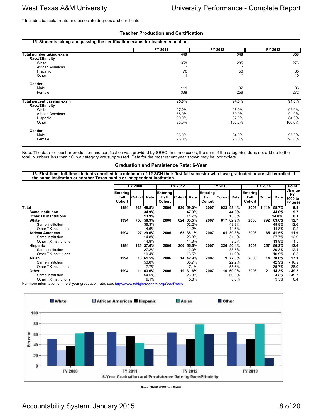\* Includes baccalaureate and associate degrees and certificates.

### **Teacher Production and Certification**

| 15. Students taking and passing the certification exams for teacher education. |         |         |         |
|--------------------------------------------------------------------------------|---------|---------|---------|
|                                                                                | FY 2011 | FY 2012 | FY 2013 |
| Total number taking exam                                                       | 449     | 348     | 358     |
| <b>Race/Ethnicity</b>                                                          |         |         |         |
| White                                                                          | 358     | 285     | 276     |
| African American                                                               |         |         |         |
| Hispanic                                                                       | 76      | 53      | 65      |
| Other                                                                          | 11      | $\star$ | 10      |
| Gender                                                                         |         |         |         |
| Male                                                                           | 111     | 92      | 86      |
| Female                                                                         | 338     | 256     | 272     |
| Total percent passing exam<br><b>Race/Ethnicity</b>                            | 95.0%   | 94.0%   | 91.0%   |
| White                                                                          | 97.0%   | 95.0%   | 93.0%   |
| African American                                                               | 88.0%   | 80.0%   | 91.0%   |
| Hispanic                                                                       | 90.0%   | 92.0%   | 84.0%   |
| Other                                                                          | 95.0%   | 100.0%  | 100.0%  |
|                                                                                |         |         |         |
| Gender                                                                         |         |         |         |
| Male                                                                           | 96.0%   | 94.0%   | 95.0%   |
| Female                                                                         | 95.0%   | 95.0%   | 90.0%   |

Note: The data for teacher production and certification was provided by SBEC. In some cases, the sum of the categories does not add up to the total. Numbers less than 10 in a category are suppressed. Data for the most recent year shown may be incomplete.

### **Graduation and Persistence Rate: 6-Year**

**16. First-time, full-time students enrolled in a minimum of 12 SCH their first fall semester who have graduated or are still enrolled at the same institution or another Texas public or independent institution.** 

|                                                                                                  |                            | FY 2000 |          |                            | FY 2012 |          | FY 2013                           |               |         | FY 2014                           |               |       | Point                                     |
|--------------------------------------------------------------------------------------------------|----------------------------|---------|----------|----------------------------|---------|----------|-----------------------------------|---------------|---------|-----------------------------------|---------------|-------|-------------------------------------------|
|                                                                                                  | Entering<br>Fall<br>Cohort | Cohort  | Rate     | Entering<br>Fall<br>Cohort | Cohort  | Rate     | <b>Entering</b><br>Fall<br>Cohort | <b>Cohort</b> | Rate    | <b>Entering</b><br>Fall<br>Cohort | <b>Cohord</b> | Rate  | Change<br><b>FY</b><br>2000 to<br>FY 2014 |
| Total                                                                                            | 1994                       | 929     | 48.8%    | 2006                       | 920     | 59.0%    | 2007                              | 923           | 58.4%   | 2008                              | 1,149         | 58.7% | 9.9                                       |
| <b>Same institution</b>                                                                          |                            |         | 34.9%    |                            |         | 47.3%    |                                   |               | 44.6%   |                                   |               | 44.6% | 9.7                                       |
| <b>Other TX institutions</b>                                                                     |                            |         | 13.9%    |                            |         | 11.7%    |                                   |               | 13.8%   |                                   |               | 14.0% | 0.1                                       |
| White                                                                                            | 1994                       | 753     | 50.9%    | 2006                       | 624     | 63.5%    | 2007                              | 617           | 62.9%   | 2008                              | 792           | 63.6% | 12.7                                      |
| Same institution                                                                                 |                            |         | 36.3%    |                            |         | 52.2%    |                                   |               | 48.3%   |                                   |               | 48.9% | 12.6                                      |
| Other TX institutions                                                                            |                            |         | 14.6%    |                            |         | 11.2%    |                                   |               | 14.6%   |                                   |               | 14.8% | 0.2                                       |
| <b>African American</b>                                                                          | 1994                       |         | 27 29.6% | 2006                       |         | 63 38.1% | 2007                              | 61            | 39.3%   | 2008                              | 65            | 41.5% | 11.9                                      |
| Same institution                                                                                 |                            |         | 14.8%    |                            |         | 23.8%    |                                   |               | 31.1%   |                                   |               | 27.7% | 12.9                                      |
| Other TX institutions                                                                            |                            |         | 14.8%    |                            |         | 14.3%    |                                   |               | 8.2%    |                                   |               | 13.8% | $-1.0$                                    |
| Hispanic                                                                                         | 1994                       | 125     | 37.6%    | 2006                       | 200     | 55.5%    | 2007                              | 226           | 50.4%   | 2008                              | 257           | 50.2% | 12.6                                      |
| Same institution                                                                                 |                            |         | 27.2%    |                            |         | 42.0%    |                                   |               | 38.5%   |                                   |               | 39.3% | 12.1                                      |
| Other TX institutions                                                                            |                            |         | 10.4%    |                            |         | 13.5%    |                                   |               | 11.9%   |                                   |               | 10.9% | 0.5                                       |
| Asian                                                                                            | 1994                       |         | 13 61.5% | 2006                       |         | 14 42.9% | 2007                              |               | 9 77.8% | 2008                              | 14            | 78.6% | 17.1                                      |
| Same institution                                                                                 |                            |         | 53.8%    |                            |         | 35.7%    |                                   |               | 22.2%   |                                   |               | 42.9% | - 10.9                                    |
| Other TX institutions                                                                            |                            |         | 7.7%     |                            |         | 7.1%     |                                   |               | 55.6%   |                                   |               | 35.7% | 28.0                                      |
| Other                                                                                            | 1994                       |         | 11 63.6% | 2006                       |         | 19 31.6% | 2007                              | 10            | 60.0%   | 2008                              | 21            | 14.3% | $-49.3$                                   |
| Same institution                                                                                 |                            |         | 54.5%    |                            |         | 26.3%    |                                   |               | 60.0%   |                                   |               | 4.8%  | - 49.7                                    |
| Other TX institutions                                                                            |                            |         | 9.1%     |                            |         | 5.3%     |                                   |               | $0.0\%$ |                                   |               | 9.5%  | 0.4                                       |
| For more information on the 6-year graduation rate, see: http://www.txhighereddata.org/GradRates |                            |         |          |                            |         |          |                                   |               |         |                                   |               |       |                                           |



**Source: CBM001, CBM002 and CBM009**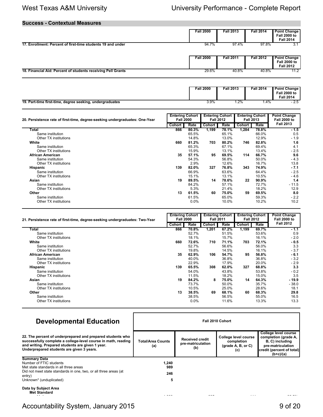### **Success - Contextual Measures**

|                                                              | <b>Fall 2000</b> | <b>Fall 2013</b> | <b>Fall 2014</b> | <b>Point Change</b><br><b>Fall 2000 to</b><br><b>Fall 2014</b> |
|--------------------------------------------------------------|------------------|------------------|------------------|----------------------------------------------------------------|
| 17. Enrollment: Percent of first-time students 19 and under  | 94.7%            | 97.4%            | 97.8%            | 3.1                                                            |
|                                                              | <b>Fall 2000</b> | <b>Fall 2011</b> | <b>Fall 2012</b> | <b>Point Change</b><br><b>Fall 2000 to</b><br><b>Fall 2012</b> |
| 18. Financial Aid: Percent of students receiving Pell Grants | 29.6%            | 40.8%            | 40.8%            | 11.2                                                           |

|                                                          | <b>Fall 2000</b> | <b>Fall 2013</b> | <b>Fall 2014</b> | Point Change<br><b>Fall 2000 to</b><br><b>Fall 2014</b> |
|----------------------------------------------------------|------------------|------------------|------------------|---------------------------------------------------------|
| 19. Part-time first-time, degree seeking, undergraduates | $3.9\%$          | 1.2%             | . 4%             | - 2.5                                                   |

| 20. Persistence rate of first-time, degree-seeking undergraduates: One-Year |        | <b>Entering Cohort</b><br><b>Fall 2000</b> |               | <b>Entering Cohort</b><br><b>Fall 2012</b> |        | <b>Entering Cohort</b><br><b>Fall 2013</b> | <b>Point Change</b><br><b>Fall 2000 to</b> |
|-----------------------------------------------------------------------------|--------|--------------------------------------------|---------------|--------------------------------------------|--------|--------------------------------------------|--------------------------------------------|
|                                                                             | Cohort | Rate                                       | <b>Cohort</b> | Rate                                       | Cohort | Rate                                       | <b>Fall 2013</b>                           |
| Total                                                                       | 866    | 80.3%                                      | 1,199         | 78.1%                                      | 1,284  | 78.8%                                      | $-1.5$                                     |
| Same institution                                                            |        | 65.5%                                      |               | 65.1%                                      |        | 66.0%                                      | 0.5                                        |
| Other TX institutions                                                       |        | 14.8%                                      |               | 13.0%                                      |        | 12.9%                                      | $-1.9$                                     |
| White                                                                       | 660    | 81.2%                                      | 703           | 80.2%                                      | 746    | 82.8%                                      | 1.6                                        |
| Same institution                                                            |        | 65.3%                                      |               | 67.1%                                      |        | 69.4%                                      | 4.1                                        |
| Other TX institutions                                                       |        | 15.9%                                      |               | 13.1%                                      |        | 13.4%                                      | $-2.5$                                     |
| African American                                                            | 35     | 57.1%                                      | 95            | 69.5%                                      | 114    | 66.7%                                      | 9.6                                        |
| Same institution                                                            |        | 54.3%                                      |               | 56.8%                                      |        | 50.0%                                      | $-4.3$                                     |
| Other TX institutions                                                       |        | 2.9%                                       |               | 12.6%                                      |        | 16.7%                                      | 13.8                                       |
| <b>Hispanic</b>                                                             | 139    | 82.0%                                      | 327           | 76.8%                                      | 343    | 74.9%                                      | $-7.1$                                     |
| Same institution                                                            |        | 66.9%                                      |               | 63.6%                                      |        | 64.4%                                      | $-2.5$                                     |
| Other TX institutions                                                       |        | 15.1%                                      |               | 13.1%                                      |        | 10.5%                                      | $-4.6$                                     |
| Asian                                                                       | 19     | 89.5%                                      | 14            | 78.6%                                      | 22     | $90.9\%$                                   | 1.4                                        |
| Same institution                                                            |        | 84.2%                                      |               | 57.1%                                      |        | 72.7%                                      | $-11.5$                                    |
| Other TX institutions                                                       |        | 5.3%                                       |               | 21.4%                                      |        | 18.2%                                      | 12.9                                       |
| Other                                                                       | 13     | 61.5%                                      | 60            | 75.0%                                      | 59     | 69.5%                                      | 8.0                                        |
| Same institution                                                            |        | 61.5%                                      |               | 65.0%                                      |        | 59.3%                                      | $-2.2$                                     |
| Other TX institutions                                                       |        | $0.0\%$                                    |               | 10.0%                                      |        | 10.2%                                      | 10.2                                       |

| 21. Persistence rate of first-time, degree-seeking undergraduates: Two-Year |        | <b>Entering Cohort</b><br><b>Fall 2000</b> |        | <b>Entering Cohort</b><br><b>Fall 2011</b> |        | <b>Entering Cohort</b><br><b>Fall 2012</b> | <b>Point Change</b><br><b>Fall 2000 to</b> |
|-----------------------------------------------------------------------------|--------|--------------------------------------------|--------|--------------------------------------------|--------|--------------------------------------------|--------------------------------------------|
|                                                                             | Cohort | Rate                                       | Cohort | Rate                                       | Cohort | Rate                                       | <b>Fall 2012</b>                           |
| Total                                                                       | 866    | 70.8%                                      | 1,201  | 67.2%                                      | 1,199  | 69.7%                                      | $-1.1$                                     |
| Same institution                                                            |        | 52.7%                                      |        | 51.5%                                      |        | 53.6%                                      | 0.9                                        |
| Other TX institutions                                                       |        | 18.1%                                      |        | 15.7%                                      |        | 16.1%                                      | $-2.0$                                     |
| White                                                                       | 660    | 72.6%                                      | 710    | 71.1%                                      | 703    | 72.1%                                      | - 0.5                                      |
| Same institution                                                            |        | 52.7%                                      |        | 56.6%                                      |        | 56.0%                                      | 3.3                                        |
| Other TX institutions                                                       |        | 19.8%                                      |        | 14.5%                                      |        | 16.1%                                      | $-3.7$                                     |
| African American                                                            | 35     | 62.9%                                      | 106    | 54.7%                                      | 95     | 56.8%                                      | $-6.1$                                     |
| Same institution                                                            |        | 40.0%                                      |        | 36.8%                                      |        | 36.8%                                      | $-3.2$                                     |
| Other TX institutions                                                       |        | 22.9%                                      |        | 17.9%                                      |        | 20.0%                                      | $-2.9$                                     |
| Hispanic                                                                    | 139    | 65.5%                                      | 308    | 62.0%                                      | 327    | 68.8%                                      | 3.3                                        |
| Same institution                                                            |        | 54.0%                                      |        | 43.8%                                      |        | 53.8%                                      | $-0.2$                                     |
| Other TX institutions                                                       |        | 11.5%                                      |        | 18.2%                                      |        | 15.0%                                      | 3.5                                        |
| Asian                                                                       | 19     | 84.2%                                      | 8      | 75.0%                                      | 14     | 64.3%                                      | - 19.9                                     |
| Same institution                                                            |        | 73.7%                                      |        | 50.0%                                      |        | 35.7%                                      | $-38.0$                                    |
| Other TX institutions                                                       |        | 10.5%                                      |        | 25.0%                                      |        | 28.6%                                      | 18.1                                       |
| Other                                                                       | 13     | 38.5%                                      | 69     | 68.1%                                      | 60     | 68.3%                                      | 29.8                                       |
| Same institution                                                            |        | 38.5%                                      |        | 56.5%                                      |        | 55.0%                                      | 16.5                                       |
| Other TX institutions                                                       |        | $0.0\%$                                    |        | 11.6%                                      |        | 13.3%                                      | 13.3                                       |

| <b>Developmental Education</b>                                                                                                                                                                                               | Fall 2010 Cohort         |                                                    |                                                                   |                                                                                                                                  |  |  |  |
|------------------------------------------------------------------------------------------------------------------------------------------------------------------------------------------------------------------------------|--------------------------|----------------------------------------------------|-------------------------------------------------------------------|----------------------------------------------------------------------------------------------------------------------------------|--|--|--|
| 22. The percent of underprepared and prepared students who<br>successfully complete a college-level course in math, reading<br>and writing. Prepared students are given 1 year.<br>Underprepared students are given 3 years. | Total/Area Counts<br>(a) | <b>Received credit</b><br>pre-matriculation<br>(b) | College level course<br>completion<br>$(grade A, B, or C)$<br>(c) | College level course<br>completion (grade A,<br>B, C) including<br>pre-matriculation<br>credit (percent of total)<br>$(b+c)/(a)$ |  |  |  |
| <b>Summary Data</b><br>Number of FTIC students<br>Met state standards in all three areas<br>Did not meet state standards in one, two, or all three areas (at<br>entry)<br>Unknown* (unduplicated)                            | 1,240<br>989<br>246<br>5 |                                                    |                                                                   |                                                                                                                                  |  |  |  |
| Data by Subject Area<br><b>Met Standard</b>                                                                                                                                                                                  | .                        | $\cdots$                                           | All Annual                                                        |                                                                                                                                  |  |  |  |

Math 1,098 905 111 905 111 905 111 906 111 906 111 906 111 907 111 907 111 907 111 907 111 907 111 907 111 90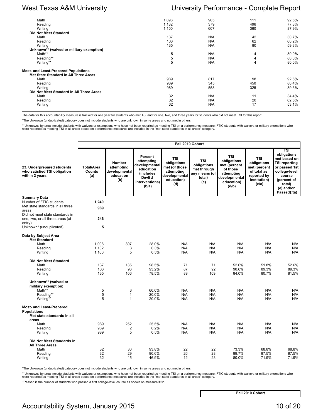| Math                                        | 1,098 | 905 | 111 | 92.5% |
|---------------------------------------------|-------|-----|-----|-------|
| Reading                                     | 1,132 | 379 | 496 | 77.3% |
|                                             |       |     |     |       |
| Writing                                     | 1,100 | 607 | 360 | 87.9% |
| <b>Did Not Meet Standard</b>                |       |     |     |       |
| Math                                        | 137   | N/A | 42  | 30.7% |
| Reading                                     | 103   | N/A | 62  | 60.2% |
| Writing                                     | 135   | N/A | 80  | 59.3% |
| Unknown** (waived or military exemption)    |       |     |     |       |
| Math**                                      | 5     | N/A | 4   | 80.0% |
| Reading**                                   | 5     | N/A | 4   | 80.0% |
| Writing**                                   | 5     | N/A | 4   | 80.0% |
|                                             |       |     |     |       |
| <b>Most- and Least-Prepared Populations</b> |       |     |     |       |
| Met State Standard in All Three Areas       |       |     |     |       |
| Math                                        | 989   | 817 | 98  | 92.5% |
| Reading                                     | 989   | 345 | 450 | 80.4% |
| Writing                                     | 989   | 558 | 325 | 89.3% |
| Did Not Meet Standard in All Three Areas    |       |     |     |       |
| Math                                        | 32    | N/A | 11  | 34.4% |
|                                             |       |     |     |       |
| Reading                                     | 32    | N/A | 20  | 62.5% |
| Writing                                     | 32    | N/A | 17  | 53.1% |
|                                             |       |     |     |       |

The data for this accountability measure is tracked for one year for students who met TSI and for one, two, and three years for students who did not meet TSI for this report.

\*The Unknown (unduplicated) category does not include students who are unknown in some areas and not met in others.

\*\*Unknowns by area include students with waivers or exemptions who have not been reported as meeting TSI on a performance measure; FTIC students with waivers or military exemptions who<br>were reported as meeting TSI in all a

|                                                                                                                                | Fall 2010 Cohort                          |                                                                  |                                                                                                             |                                                                                                |                                                                            |                                                                                                             |                                                                                                  |                                                                                                                                                                                  |
|--------------------------------------------------------------------------------------------------------------------------------|-------------------------------------------|------------------------------------------------------------------|-------------------------------------------------------------------------------------------------------------|------------------------------------------------------------------------------------------------|----------------------------------------------------------------------------|-------------------------------------------------------------------------------------------------------------|--------------------------------------------------------------------------------------------------|----------------------------------------------------------------------------------------------------------------------------------------------------------------------------------|
| 23. Underprepared students<br>who satisfied TSI obligation<br>within 2 years.                                                  | <b>Total/Area</b><br><b>Counts</b><br>(a) | <b>Number</b><br>attempting<br>developmental<br>education<br>(b) | Percent<br>attempting<br>developmental<br>education<br>(includes<br><b>DevEd</b><br>interventions)<br>(b/a) | <b>TSI</b><br>obligations<br>met (of those<br>attempting<br>developmental<br>education)<br>(d) | <b>TSI</b><br>obligations<br>met through<br>any means (of<br>total)<br>(e) | <b>TSI</b><br>obligations<br>met (percent<br>of those<br>attempting<br>developmental<br>education)<br>(d/b) | <b>TSI</b><br>obligations<br>met (percent<br>of total as<br>reported by<br>institution)<br>(e/a) | $\overline{\text{TSI}}$<br>obligations<br>met based on<br><b>TSI reporting</b><br>or passed 1st<br>college-level<br>course<br>(percent of<br>total)<br>(e) and/or<br>Passed†/(a) |
| <b>Summary Data</b><br>Number of FTIC students<br>Met state standards in all three<br>areas<br>Did not meet state standards in | 1,240<br>989                              |                                                                  |                                                                                                             |                                                                                                |                                                                            |                                                                                                             |                                                                                                  |                                                                                                                                                                                  |
| one, two, or all three areas (at<br>entry)                                                                                     | 246                                       |                                                                  |                                                                                                             |                                                                                                |                                                                            |                                                                                                             |                                                                                                  |                                                                                                                                                                                  |
| Unknown* (unduplicated)                                                                                                        | 5                                         |                                                                  |                                                                                                             |                                                                                                |                                                                            |                                                                                                             |                                                                                                  |                                                                                                                                                                                  |
| Data by Subject Area<br><b>Met Standard</b><br>Math<br>Reading<br>Writing<br><b>Did Not Meet Standard</b>                      | 1,098<br>1,132<br>1.100                   | 307<br>3<br>5                                                    | 28.0%<br>0.3%<br>0.5%                                                                                       | N/A<br>N/A<br>N/A                                                                              | N/A<br>N/A<br>N/A                                                          | N/A<br>N/A<br>N/A                                                                                           | N/A<br>N/A<br>N/A                                                                                | N/A<br>N/A<br>N/A                                                                                                                                                                |
| Math<br>Reading<br>Writing                                                                                                     | 137<br>103<br>135                         | 135<br>96<br>106                                                 | 98.5%<br>93.2%<br>78.5%                                                                                     | 71<br>87<br>89                                                                                 | 71<br>92<br>109                                                            | 52.6%<br>90.6%<br>84.0%                                                                                     | 51.8%<br>89.3%<br>80.7%                                                                          | 52.6%<br>89.3%<br>81.5%                                                                                                                                                          |
| Unknown** (waived or<br>military exemption)<br>Math**<br>Reading**<br>Writing**                                                | 5<br>5<br>5                               | 3<br>$\mathbf{1}$<br>$\mathbf{1}$                                | 60.0%<br>20.0%<br>20.0%                                                                                     | N/A<br>N/A<br>N/A                                                                              | N/A<br>N/A<br>N/A                                                          | N/A<br>N/A<br>N/A                                                                                           | N/A<br>N/A<br>N/A                                                                                | N/A<br>N/A<br>N/A                                                                                                                                                                |
| <b>Most- and Least-Prepared</b><br><b>Populations</b><br>Met state standards in all<br>areas                                   |                                           |                                                                  |                                                                                                             |                                                                                                |                                                                            |                                                                                                             |                                                                                                  |                                                                                                                                                                                  |
| Math<br>Reading<br>Writing                                                                                                     | 989<br>989<br>989                         | 252<br>2<br>5                                                    | 25.5%<br>0.2%<br>0.5%                                                                                       | N/A<br>N/A<br>N/A                                                                              | N/A<br>N/A<br>N/A                                                          | N/A<br>N/A<br>N/A                                                                                           | N/A<br>N/A<br>N/A                                                                                | N/A<br>N/A<br>N/A                                                                                                                                                                |
| Did Not Meet Standards in<br><b>All Three Areas</b><br>Math<br>Reading<br>Writing                                              | 32<br>32<br>32                            | 30<br>29<br>15                                                   | 93.8%<br>90.6%<br>46.9%                                                                                     | 22<br>26<br>12                                                                                 | 22<br>28<br>23                                                             | 73.3%<br>89.7%<br>80.0%                                                                                     | 68.8%<br>87.5%<br>71.9%                                                                          | 68.8%<br>87.5%<br>71.9%                                                                                                                                                          |

\*The Unknown (unduplicated) category does not include students who are unknown in some areas and not met in others.

\*\*Unknowns by area include students with waivers or exemptions who have not been reported as meeting TSI on a performance measure; FTIC students with waivers or military exemptions who<br>were reported as meeting TSI in all a

†Passed is the number of students who passed a first college-level course as shown on measure #22.

**Fall 2010 Cohort**

# Accountability System, January 2015 10 of 20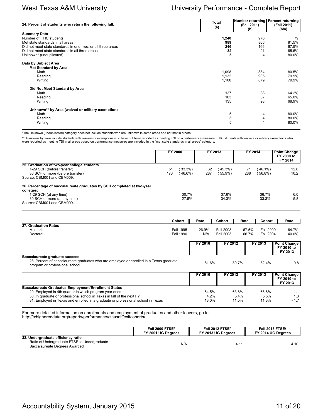| 24. Percent of students who return the following fall.                                                                                             | Total<br>(a)            | Number returning Percent returning<br>(Fall 2011)<br>(b) | (Fall 2011)<br>(b/a)    |
|----------------------------------------------------------------------------------------------------------------------------------------------------|-------------------------|----------------------------------------------------------|-------------------------|
| <b>Summary Data</b><br>Number of FTIC students<br>Met state standards in all areas<br>Did not meet state standards in one, two, or all three areas | 1,240<br>989<br>246     | 976<br>806<br>166                                        | 79<br>81.5%<br>67.5%    |
| Did not meet state standards in all three areas<br>Unknown* (unduplicated)                                                                         | 32<br>5                 | 21<br>4                                                  | 65.6%<br>80.0%          |
| Data by Subject Area<br><b>Met Standard by Area</b><br>Math<br>Reading<br>Writing                                                                  | 1,098<br>1,132<br>1,100 | 884<br>905<br>879                                        | 80.5%<br>79.9%<br>79.9% |
| Did Not Meet Standard by Area<br>Math<br>Reading<br>Writing                                                                                        | 137<br>103<br>135       | 88<br>67<br>93                                           | 64.2%<br>65.0%<br>68.9% |
| Unknown** by Area (waived or military exemption)<br>Math<br>Reading<br>Writing                                                                     | 5<br>5<br>5             | 4<br>4<br>4                                              | 80.0%<br>80.0%<br>80.0% |

\*The Unknown (unduplicated) category does not include students who are unknown in some areas and not met in others.

\*\*Unknowns by area include students with waivers or exemptions who have not been reported as meeting TSI on a performance measure; FTIC students with waivers or military exemptions who<br>were reported as meeting TSI in all a

|                                                                        | <b>FY 2000</b> |          | FY 2013 |           |     | FY 2014  | <b>Point Change</b><br>FY 2000 to<br>FY 2014 |
|------------------------------------------------------------------------|----------------|----------|---------|-----------|-----|----------|----------------------------------------------|
| 25. Graduation of two-year college students                            |                |          |         |           |     |          |                                              |
| 1-29 SCH (before transfer)                                             | 51             | 33.3%    | 62      | (45.3%)   |     | $46.1\%$ | 12.8                                         |
| 30 SCH or more (before transfer)                                       | 173            | $46.6\%$ | 287     | $55.9\%)$ | 288 | 56.8%)   | 10.2                                         |
| Source: CBM001 and CBM009.                                             |                |          |         |           |     |          |                                              |
| 26. Percentage of baccalaureate graduates by SCH completed at two-year |                |          |         |           |     |          |                                              |
| colleges:                                                              |                |          |         |           |     |          |                                              |
| 1-29 SCH (at any time)                                                 |                | 30.7%    |         | 37.6%     |     | 36.7%    | 6.0                                          |
| 30 SCH or more (at any time)                                           |                | 27.5%    |         | 34.3%     |     | 33.3%    | 5.8                                          |
| Source: CBM001 and CBM009.                                             |                |          |         |           |     |          |                                              |

|                                                                                                                                                             | Cohort           | Rate    | Cohort           | Rate  | Cohort           | Rate                                         |
|-------------------------------------------------------------------------------------------------------------------------------------------------------------|------------------|---------|------------------|-------|------------------|----------------------------------------------|
| 27. Graduation Rates                                                                                                                                        |                  |         |                  |       |                  |                                              |
| Master's                                                                                                                                                    | Fall 1995        | 26.9%   | Fall 2008        | 67.5% | Fall 2009        | 64.7%                                        |
| Doctoral                                                                                                                                                    | <b>Fall 1990</b> | N/A     | <b>Fall 2003</b> | 66.7% | <b>Fall 2004</b> | 40.0%                                        |
|                                                                                                                                                             |                  | FY 2010 | FY 2012          |       | FY 2013          | <b>Point Change</b>                          |
|                                                                                                                                                             |                  |         |                  |       |                  | FY 2010 to<br>FY 2013                        |
| Baccalaureate graduate success<br>28. Percent of baccalaureate graduates who are employed or enrolled in a Texas graduate<br>program or professional school |                  | 81.6%   |                  | 80.7% | 82.4%            | 0.8                                          |
|                                                                                                                                                             |                  | FY 2010 | FY 2012          |       | FY 2013          | <b>Point Change</b><br>FY 2010 to<br>FY 2013 |
| <b>Baccalaureate Graduates Employment/Enrollment Status</b>                                                                                                 |                  |         |                  |       |                  |                                              |
| 29. Employed in 4th quarter in which program year ends                                                                                                      |                  | 64.5%   |                  | 63.8% | 65.6%            | 1.1                                          |
| 30. In graduate or professional school in Texas in fall of the next FY                                                                                      |                  | 4.2%    |                  | 5.4%  | 5.5%             | 1.3                                          |
| 31. Employed in Texas and enrolled in a graduate or professional school in Texas                                                                            |                  | 13.0%   |                  | 11.5% | 11.3%            | $-1.7$                                       |

For more detailed information on enrollments and employment of graduates and other leavers, go to: http://txhighereddata.org/reports/performance/ctcasalf/exitcohorts/

|                                                                                                                     | <b>Fall 2000 FTSE/</b> | <b>Fall 2012 FTSE/</b> | <b>Fall 2013 FTSE/</b> |
|---------------------------------------------------------------------------------------------------------------------|------------------------|------------------------|------------------------|
|                                                                                                                     | FY 2001 UG Dearees     | FY 2013 UG Dearees     | FY 2014 UG Degrees     |
| 32. Undergraduate efficiency ratio<br>Ratio of Undergraduate FTSE to Undergraduate<br>Baccalaureate Degrees Awarded | N/A                    | 4.1                    | 4.10                   |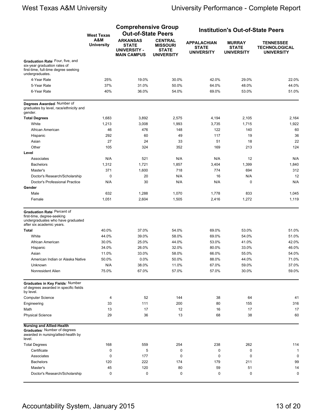|                                                                                                                             | <b>West Texas</b>        | <b>Comprehensive Group</b><br><b>Out-of-State Peers</b>                      |                                                                        |                                                         | <b>Institution's Out-of-State Peers</b>            |                                                               |  |
|-----------------------------------------------------------------------------------------------------------------------------|--------------------------|------------------------------------------------------------------------------|------------------------------------------------------------------------|---------------------------------------------------------|----------------------------------------------------|---------------------------------------------------------------|--|
|                                                                                                                             | A&M<br><b>University</b> | <b>ARKANSAS</b><br><b>STATE</b><br><b>UNIVERSITY -</b><br><b>MAIN CAMPUS</b> | <b>CENTRAL</b><br><b>MISSOURI</b><br><b>STATE</b><br><b>UNIVERSITY</b> | <b>APPALACHIAN</b><br><b>STATE</b><br><b>UNIVERSITY</b> | <b>MURRAY</b><br><b>STATE</b><br><b>UNIVERSITY</b> | <b>TENNESSEE</b><br><b>TECHNOLOGICAL</b><br><b>UNIVERSITY</b> |  |
| Graduation Rate: Four, five, and<br>six-year graduation rates of<br>first-time, full-time degree seeking<br>undergraduates. |                          |                                                                              |                                                                        |                                                         |                                                    |                                                               |  |
| 4-Year Rate                                                                                                                 | 25%                      | 19.0%                                                                        | 30.0%                                                                  | 42.0%                                                   | 29.0%                                              | 22.0%                                                         |  |
| 5-Year Rate                                                                                                                 | 37%                      | 31.0%                                                                        | 50.0%                                                                  | 64.0%                                                   | 48.0%                                              | 44.0%                                                         |  |
| 6-Year Rate                                                                                                                 | 40%                      | 36.0%                                                                        | 54.0%                                                                  | 69.0%                                                   | 53.0%                                              | 51.0%                                                         |  |
| Degrees Awarded: Number of<br>graduates by level, race/ethnicity and<br>gender.                                             |                          |                                                                              |                                                                        |                                                         |                                                    |                                                               |  |
| <b>Total Degrees</b>                                                                                                        | 1,683                    | 3,892                                                                        | 2,575                                                                  | 4,194                                                   | 2,105                                              | 2,164                                                         |  |
| White                                                                                                                       | 1,213                    | 3,008                                                                        | 1,993                                                                  | 3,735                                                   | 1,715                                              | 1,922                                                         |  |
| African American                                                                                                            | 46                       | 476                                                                          | 148                                                                    | 122                                                     | 140                                                | 60                                                            |  |
| Hispanic                                                                                                                    | 292                      | 60                                                                           | 49                                                                     | 117                                                     | 19                                                 | 36                                                            |  |
| Asian                                                                                                                       | 27                       | 24                                                                           | 33                                                                     | 51                                                      | 18                                                 | 22                                                            |  |
| Other                                                                                                                       | 105                      | 324                                                                          | 352                                                                    | 169                                                     | 213                                                | 124                                                           |  |
| Level                                                                                                                       |                          |                                                                              |                                                                        |                                                         |                                                    |                                                               |  |
| Associates                                                                                                                  | N/A                      | 521                                                                          | N/A                                                                    | N/A                                                     | 12                                                 | N/A                                                           |  |
| <b>Bachelors</b>                                                                                                            |                          |                                                                              |                                                                        |                                                         |                                                    |                                                               |  |
| Master's                                                                                                                    | 1,312                    | 1,721                                                                        | 1,857                                                                  | 3,404                                                   | 1,399                                              | 1,840                                                         |  |
|                                                                                                                             | 371                      | 1,600                                                                        | 718                                                                    | 774                                                     | 694                                                | 312                                                           |  |
| Doctor's Research/Scholarship                                                                                               | $\mathbf 0$              | 20                                                                           | N/A                                                                    | 16                                                      | N/A                                                | 12                                                            |  |
| Doctor's Professional Practice                                                                                              | N/A                      | 30                                                                           | N/A                                                                    | N/A                                                     | $\mathbf 0$                                        | N/A                                                           |  |
| Gender                                                                                                                      |                          |                                                                              |                                                                        |                                                         |                                                    |                                                               |  |
| Male                                                                                                                        | 632                      | 1,288                                                                        | 1,070                                                                  | 1,778                                                   | 833                                                | 1,045                                                         |  |
| Female                                                                                                                      | 1,051                    | 2,604                                                                        | 1,505                                                                  | 2,416                                                   | 1,272                                              | 1,119                                                         |  |
| Graduation Rate: Percent of<br>first-time, degree-seeking<br>undergraduates who have graduated<br>after six academic years. |                          |                                                                              |                                                                        |                                                         |                                                    |                                                               |  |
| <b>Total</b>                                                                                                                | 40.0%                    | 37.0%                                                                        | 54.0%                                                                  | 69.0%                                                   | 53.0%                                              | 51.0%                                                         |  |
| White                                                                                                                       | 44.0%                    | 39.0%                                                                        | 58.0%                                                                  | 69.0%                                                   | 54.0%                                              | 51.0%                                                         |  |
| African American                                                                                                            | 30.0%                    | 25.0%                                                                        | 44.0%                                                                  | 53.0%                                                   | 41.0%                                              | 42.0%                                                         |  |
| Hispanic                                                                                                                    | 34.0%                    | 26.0%                                                                        | 32.0%                                                                  | 80.0%                                                   | 33.0%                                              | 46.0%                                                         |  |
| Asian                                                                                                                       | 11.0%                    | 33.0%                                                                        | 58.0%                                                                  | 66.0%                                                   | 55.0%                                              | 54.0%                                                         |  |
| American Indian or Alaska Native                                                                                            | 50.0%                    | 0.0%                                                                         | 50.0%                                                                  | 88.0%                                                   | 44.0%                                              | 71.0%                                                         |  |
| Unknown                                                                                                                     | N/A                      | 38.0%                                                                        | 11.0%                                                                  | 67.0%                                                   | 59.0%                                              | 37.0%                                                         |  |
| Nonresident Alien                                                                                                           | 75.0%                    |                                                                              | 57.0%                                                                  | 57.0%                                                   |                                                    |                                                               |  |
|                                                                                                                             |                          | 67.0%                                                                        |                                                                        |                                                         | 30.0%                                              | 59.0%                                                         |  |
| Graduates in Key Fields: Number<br>of degrees awarded in specific fields<br>by level.                                       |                          |                                                                              |                                                                        |                                                         |                                                    |                                                               |  |
| <b>Computer Science</b>                                                                                                     | 4                        | 52                                                                           | 144                                                                    | 38                                                      | 64                                                 | 41                                                            |  |
| Engineering                                                                                                                 | 33                       | 111                                                                          | 200                                                                    | 80                                                      | 155                                                | 316                                                           |  |
| Math                                                                                                                        | 13                       | 17                                                                           | 12                                                                     | 16                                                      | 17                                                 | 17                                                            |  |
| <b>Physical Science</b>                                                                                                     | 29                       | 36                                                                           | 13                                                                     | 68                                                      | 38                                                 | 60                                                            |  |
| <b>Nursing and Allied-Health</b><br>Graduates: Number of degrees<br>awarded in nursing/allied-health by<br>level.           |                          |                                                                              |                                                                        |                                                         |                                                    |                                                               |  |
| <b>Total Degrees</b>                                                                                                        | 168                      | 559                                                                          | 254                                                                    | 238                                                     | 262                                                | 114                                                           |  |
| Certificate                                                                                                                 | 0                        | 5                                                                            | 0                                                                      | 0                                                       | 0                                                  | $\mathbf{1}$                                                  |  |
| Associates                                                                                                                  | $\mathbf 0$              | 177                                                                          | 0                                                                      | 0                                                       | 0                                                  | 0                                                             |  |
| <b>Bachelors</b>                                                                                                            | 120                      | 222                                                                          | 174                                                                    | 179                                                     | 211                                                | 99                                                            |  |
| Master's                                                                                                                    | 45                       | 120                                                                          | 80                                                                     | 59                                                      | 51                                                 | 14                                                            |  |
| Doctor's Research/Scholarship                                                                                               | $\mathbf 0$              | 0                                                                            | 0                                                                      | 0                                                       | 0                                                  | 0                                                             |  |
|                                                                                                                             |                          |                                                                              |                                                                        |                                                         |                                                    |                                                               |  |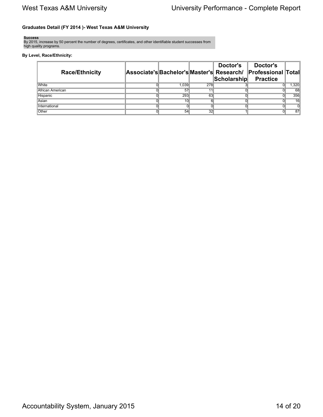### **Graduates Detail (FY 2014 )- West Texas A&M University**

**Success**

By 2015, increase by 50 percent the number of degrees, certificates, and other identifiable student successes from high quality programs.

### **By Level, Race/Ethnicity:**

| <b>Race/Ethnicity</b> |                 |     | Doctor's<br>Scholarship | Doctor's<br> Associate's Bachelor's Master's  Research/  Professional  Total<br><b>Practice</b> |                |
|-----------------------|-----------------|-----|-------------------------|-------------------------------------------------------------------------------------------------|----------------|
| White                 | 1.039           | 278 |                         |                                                                                                 | .320           |
| African American      | 57              |     |                         |                                                                                                 | 68             |
| <b>Hispanic</b>       | 293             | 63  |                         |                                                                                                 | 356            |
| Asian                 | 10 <sub>1</sub> |     |                         |                                                                                                 | 16             |
| International         |                 |     |                         |                                                                                                 | $\overline{0}$ |
| Other                 | 54              | 32  |                         |                                                                                                 | 87             |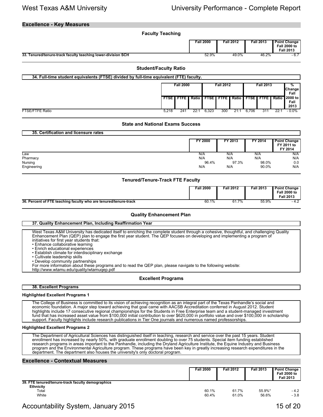### **Excellence - Key Measures**

|                                                              | <b>Faculty Teaching</b> |                  |                  |                  |                                                         |  |  |  |
|--------------------------------------------------------------|-------------------------|------------------|------------------|------------------|---------------------------------------------------------|--|--|--|
|                                                              |                         | <b>Fall 2000</b> | <b>Fall 2012</b> | <b>Fall 2013</b> | Point Change<br><b>Fall 2000 to</b><br><b>Fall 2013</b> |  |  |  |
| 33. Tenured/tenure-track faculty teaching lower-division SCH |                         | 52.9%            | 49.0%            | 46.2%            | $-6.7$                                                  |  |  |  |
| <b>Student/Faculty Ratio</b>                                 |                         |                  |                  |                  |                                                         |  |  |  |

| 34. Full-time student equivalents (FTSE) divided by full-time equivalent (FTE) faculty. |                  |                      |                  |       |     |                  |                                                   |     |                            |                           |  |
|-----------------------------------------------------------------------------------------|------------------|----------------------|------------------|-------|-----|------------------|---------------------------------------------------|-----|----------------------------|---------------------------|--|
|                                                                                         | <b>Fall 2000</b> |                      | <b>Fall 2012</b> |       |     | <b>Fall 2013</b> |                                                   |     | ℅<br><b>Change</b><br>Fall |                           |  |
|                                                                                         |                  | <b>FTSE I FTFE I</b> |                  |       |     |                  | Ratio I FTSE I FTFE I Ratio I FTSE I FTFE I Ratio |     |                            | l 2000 to<br>Fall<br>2013 |  |
| <b>FTSE/FTFE Ratio</b>                                                                  | 5,218            | 241                  | 22:              | 6,323 | 300 | 21:1             | 6.706                                             | 311 | 22:7                       | $-0.0\%$                  |  |

### **State and National Exams Success**

| 35. Certification and licensure rates |                |         |         |                                              |
|---------------------------------------|----------------|---------|---------|----------------------------------------------|
|                                       | <b>FY 2000</b> | FY 2013 | FY 2014 | <b>Point Change</b><br>FY 2011 to<br>FY 2014 |
| Law                                   | N/A            | N/A     | N/A     | N/A                                          |
| Pharmacy                              | N/A            | N/A     | N/A     | N/A                                          |
| Nursing                               | 96.4%          | 97.3%   | 98.0%   | 0.0                                          |
| Engineering                           | N/A            | N/A     | 90.0%   | N/A                                          |

### **Tenured/Tenure-Track FTE Faculty**

|                                                                  | Fall 2000 | Fall 2012 | Fall 2013 | <b>Point Change</b><br><b>Fall 2000 to</b><br>Fall 2013 |
|------------------------------------------------------------------|-----------|-----------|-----------|---------------------------------------------------------|
| 36. Percent of FTE teaching faculty who are tenured/tenure-track | 60.1%     | 61.7%     | 55.9%     |                                                         |

### **Quality Enhancement Plan**

### **37. Quality Enhancement Plan, Including Reaffirmation Year**

West Texas A&M University has dedicated itself to enriching the complete student through a cohesive, thoughtful, and challenging Quality Enhancement Plan (QEP) plan to engage the first year student. The QEP focuses on developing and implementing a program of initiatives for first year students that:

- Enhance collaborative learning • Enrich educational experiences
- Establish climate for interdisciplinary exchange
- Cultivate leadership skills
- Develop community partnerships
- 
- For more information about these programs and to read the QEP plan, please navigate to the following website:
- http://www.wtamu.edu/quality/wtamuqep.pdf

### **Excellent Programs**

### **38. Excellent Programs**

### **Highlighted Excellent Programs 1**

The College of Business is committed to its vision of achieving recognition as an integral part of the Texas Panhandle's social and economic foundation. A major step toward achieving that goal came with AACSB Accreditation conferred in August 2012. Student highlights include 17 consecutive regional championships for the Students in Free Enterprise team and a student-managed investment fund that has increased asset value from \$100,000 initial contribution to over \$620,000 in portfolio value and over \$100,000 in scholarship support. Faculty highlights include research publications in Tier One journals and numerous named professorships.

### **Highlighted Excellent Programs 2**

The Department of Agricultural Sciences has distinguished itself in teaching, research and service over the past 15 years. Student enrollment has increased by nearly 50%, with graduate enrollment doubling to over 75 students. Special item funding established research programs in areas important to the Panhandle, including the Dryland Agriculture Institute, the Equine Industry and Business program and the Environmental Agriculture program. These programs have been key in greatly increasing research expenditures in the department. The department also houses the university's only doctoral program

### **Excellence - Contextual Measures**

|                                                                                         | <b>Fall 2000</b> | <b>Fall 2012</b> | <b>Fall 2013</b> | <b>Point Change</b><br><b>Fall 2000 to</b><br><b>Fall 2013</b> |
|-----------------------------------------------------------------------------------------|------------------|------------------|------------------|----------------------------------------------------------------|
| 39. FTE tenured/tenure-track faculty demographics<br><b>Ethnicity</b><br>Total<br>White | 60.1%<br>60.4%   | 61.7%<br>61.0%   | 55.9%*<br>56.6%  | $-4.2$<br>$-3.8$                                               |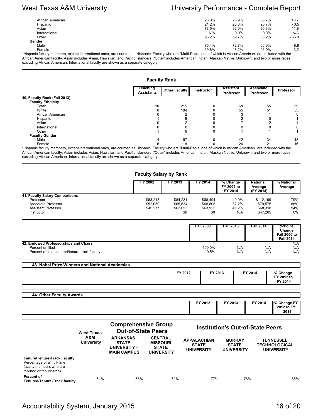| African American                                                                                                                                                    | 26.0% | 76.9%   | 66.7%   | 40.7    |
|---------------------------------------------------------------------------------------------------------------------------------------------------------------------|-------|---------|---------|---------|
| Hispanic                                                                                                                                                            | 21.2% | 26.3%   | 20.7%   | $-0.5$  |
| Asian                                                                                                                                                               | 78.5% | 92.0%   | 90.3%   | 11.8    |
| International                                                                                                                                                       | N/A   | $0.0\%$ | $0.0\%$ | N/A     |
| Other                                                                                                                                                               | 96.2% | 59.7%   | 30.2%   | $-66.0$ |
| Gender                                                                                                                                                              |       |         |         |         |
| Male                                                                                                                                                                | 75.4% | 72.7%   | 66.6%   | $-8.8$  |
| Female                                                                                                                                                              | 39.8% | 48.2%   | 43.0%   | 3.2     |
| disponie foculty members, except interpational opes, are counted as Hispanic. Eaculty who are "Multi Pacial one of which is African American" are included with the |       |         |         |         |

\*Hispanic faculty members, except international ones, are counted as Hispanic. Faculty who are "Multi-Racial one of which is African American" are included with the African American faculty. Asian includes Asian, Hawaiian, and Pacific Islanders. "Other" includes American Indian, Alaskan Native, Unknown, and two or more races, excluding African American. International faculty are shown as a separate category.

### **Faculty Rank**

|                              | Teaching<br><b>Assistants</b> | <b>Other Faculty</b> | Instructor | <b>Assistant</b><br>Professor | <b>Associate</b><br>Professor | <b>Professor</b> |
|------------------------------|-------------------------------|----------------------|------------|-------------------------------|-------------------------------|------------------|
| 40. Faculty Rank (Fall 2013) |                               |                      |            |                               |                               |                  |
| <b>Faculty Ethnicity</b>     |                               |                      |            |                               |                               |                  |
| Total*                       | 10                            | 215                  |            | 68                            | 55                            | 59               |
| White                        |                               | 184                  |            | 55                            | 51                            | 53               |
| African American             |                               |                      |            |                               |                               |                  |
| Hispanic                     |                               | 18                   |            |                               |                               |                  |
| Asian                        |                               |                      |            |                               |                               |                  |
| International                |                               |                      |            |                               |                               |                  |
| Other                        |                               |                      |            |                               |                               |                  |
| <b>Faculty Gender</b>        |                               |                      |            |                               |                               |                  |
| Male                         |                               | 97                   |            | 42                            | 34                            | 43               |
| Female                       |                               | 118                  |            | 26                            | 21                            | 16               |

\*Hispanic faculty members, except international ones, are counted as Hispanic. Faculty who are "Multi-Racial one of which is African American" are included with the African American faculty. Asian includes Asian, Hawaiian, and Pacific Islanders. "Other" includes American Indian, Alaskan Native, Unknown, and two or more races, excluding African American. International faculty are shown as a separate category.

### **Faculty Salary by Rank**

|                                | FY 2002  | FY 2013  | FY 2014  | % Change<br>FY 2002 to<br>FY 2014 | <b>National</b><br>Average<br>(FY 2014) | % National<br>Average |
|--------------------------------|----------|----------|----------|-----------------------------------|-----------------------------------------|-----------------------|
| 41. Faculty Salary Comparisons |          |          |          |                                   |                                         |                       |
| Professor                      | \$63,213 | \$84.231 | \$88.494 | 40.0%                             | \$112.199                               | 79%                   |
| Associate Professor            | \$52,050 | \$65.634 | \$68,808 | 32.2%                             | \$79.575                                | 86%                   |
| Assistant Professor            | \$45,277 | \$63,053 | \$63.925 | 41.2%                             | \$68,318                                | 94%                   |
| Instructor                     |          | \$0      | \$0      | N/A                               | \$47.289                                | $0\%$                 |

|                                               | <b>Fall 2000</b> | <b>Fall 2013</b> | <b>Fall 2014</b> | %/Point<br>Change<br><b>Fall 2000 to</b><br><b>Fall 2014</b> |
|-----------------------------------------------|------------------|------------------|------------------|--------------------------------------------------------------|
| 42. Endowed Professorships and Chairs         |                  |                  |                  | N/A                                                          |
| Percent unfilled                              | 100.0%           | N/A              | N/A              | N/A                                                          |
| Percent of total tenured/tenure-track faculty | 0.5%             | N/A              | N/A              | N/A                                                          |

| 43. Nobel Prize Winners and National Academies |         |         |         |                                   |
|------------------------------------------------|---------|---------|---------|-----------------------------------|
|                                                | FY 2012 | FY 2013 | FY 2014 | % Change<br>FY 2012 to<br>FY 2014 |
|                                                |         |         |         |                                   |
|                                                |         |         |         |                                   |

| 44. Other Faculty Awards |         |                        |         |                                   |
|--------------------------|---------|------------------------|---------|-----------------------------------|
|                          | FY 2012 | $^{\prime}$ 2013<br>cν | FY 2014 | % Change FY<br>2012 to FY<br>2014 |
|                          |         |                        |         |                                   |

|                                                                                                                          | <b>West Texas</b>        | <b>Comprehensive Group</b><br><b>Out-of-State Peers</b>               |                                                                        | <b>Institution's Out-of-State Peers</b>                 |                                                    |                                                               |  |
|--------------------------------------------------------------------------------------------------------------------------|--------------------------|-----------------------------------------------------------------------|------------------------------------------------------------------------|---------------------------------------------------------|----------------------------------------------------|---------------------------------------------------------------|--|
|                                                                                                                          | A&M<br><b>University</b> | <b>ARKANSAS</b><br><b>STATE</b><br>UNIVERSITY -<br><b>MAIN CAMPUS</b> | <b>CENTRAL</b><br><b>MISSOURI</b><br><b>STATE</b><br><b>UNIVERSITY</b> | <b>APPALACHIAN</b><br><b>STATE</b><br><b>UNIVERSITY</b> | <b>MURRAY</b><br><b>STATE</b><br><b>UNIVERSITY</b> | <b>TENNESSEE</b><br><b>TECHNOLOGICAL</b><br><b>UNIVERSITY</b> |  |
| <b>Tenure/Tenure-Track Faculty</b><br>Percentage of all full-time<br>faculty members who are<br>tenured or tenure-track. |                          |                                                                       |                                                                        |                                                         |                                                    |                                                               |  |
| Percent of<br>Tenured/Tenure-Track faculty                                                                               | 64%                      | 68%                                                                   | 72%                                                                    | 77%                                                     | 78%                                                | 85%                                                           |  |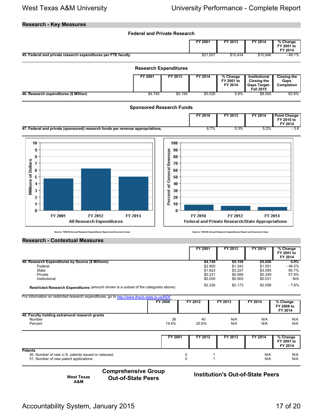### **Research - Key Measures**



|                                                                                     | FY 2001 | FY 2013 | FY 2014 | % Change<br>FY 2001 to<br>FY 2014 |
|-------------------------------------------------------------------------------------|---------|---------|---------|-----------------------------------|
| 48. Research Expenditures by Source (\$ Millions)                                   | \$4.745 | \$5.159 | \$5.026 | $5.9\%$                           |
| Federal                                                                             | \$2,900 | \$1.343 | \$1.551 | - 46.5%                           |
| State                                                                               | \$1.623 | \$3.227 | \$3.095 | 90.7%                             |
| Private                                                                             | \$0.221 | \$0.589 | \$0.349 | 57.9%                             |
| Institutional                                                                       | \$0.000 | \$0.000 | \$0.031 | N/A                               |
| Restricted Research Expenditures (amount shown is a subset of the categories above) | \$2.226 | \$2.173 | \$2.058 | - 7.6%                            |

For information on restricted research expenditures, go to<http://www.thecb.state.tx.us/RDF>

|                                                                            | <b>FY 2008</b> | FY 2012     | FY 2013    | FY 2014    | % Change<br>FY 2008 to<br>FY 2014 |
|----------------------------------------------------------------------------|----------------|-------------|------------|------------|-----------------------------------|
| 49. Faculty holding extramural research grants<br><b>Number</b><br>Percent | 36<br>19.4%    | 40<br>20.6% | N/A<br>N/A | N/A<br>N/A | N/A<br>N/A                        |

|                                                                                                               | FY 2001 | FY 2012 | FY 2013 | FY 2014    | % Change<br>FY 2001 to<br>FY 2014 |
|---------------------------------------------------------------------------------------------------------------|---------|---------|---------|------------|-----------------------------------|
| <b>Patents</b><br>50. Number of new U.S. patents issued or reissued.<br>51. Number of new patent applications |         |         |         | N/A<br>N/A | N/A<br>N/A                        |

**West Texas A&M**

**Comprehensive Group**

**Out-of-State Peers Institution's Out-of-State Peers**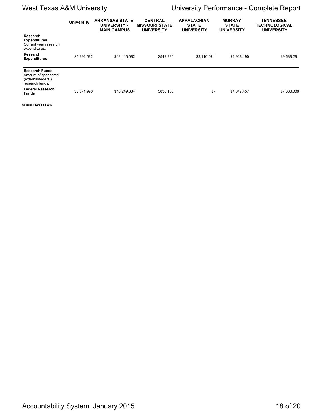# West Texas A&M University **National Mest Texas A&M University Complete Report**

|                                                                                       | <b>University</b> | <b>ARKANSAS STATE</b><br>UNIVERSITY -<br><b>MAIN CAMPUS</b> | <b>CENTRAL</b><br><b>MISSOURI STATE</b><br><b>UNIVERSITY</b> | <b>APPALACHIAN</b><br><b>STATE</b><br><b>UNIVERSITY</b> | <b>MURRAY</b><br><b>STATE</b><br><b>UNIVERSITY</b> | <b>TENNESSEE</b><br><b>TECHNOLOGICAL</b><br><b>UNIVERSITY</b> |
|---------------------------------------------------------------------------------------|-------------------|-------------------------------------------------------------|--------------------------------------------------------------|---------------------------------------------------------|----------------------------------------------------|---------------------------------------------------------------|
| Research<br><b>Expenditures</b><br>Current year research<br>expenditures.             |                   |                                                             |                                                              |                                                         |                                                    |                                                               |
| <b>Research</b><br><b>Expenditures</b>                                                | \$5,991,582       | \$13,146,082                                                | \$542,330                                                    | \$3,110,074                                             | \$1,928,190                                        | \$9,588,291                                                   |
| <b>Research Funds</b><br>Amount of sponsored<br>(external/federal)<br>research funds. |                   |                                                             |                                                              |                                                         |                                                    |                                                               |
| <b>Federal Research</b><br><b>Funds</b>                                               | \$3,571,996       | \$10,249,334                                                | \$836,186                                                    | \$-                                                     | \$4,847,457                                        | \$7,386,008                                                   |
| Source: IPEDS Fall 2013                                                               |                   |                                                             |                                                              |                                                         |                                                    |                                                               |

Accountability System, January 2015 18 of 20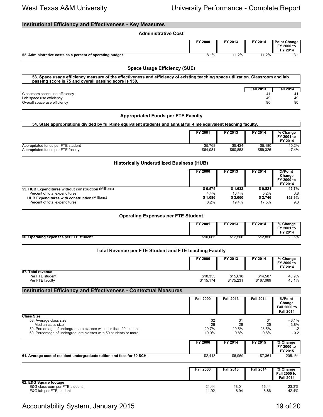| <b>Institutional Efficiency and Effectiveness - Key Measures</b>                                                                                            |                         |                           |                          |                                                   |
|-------------------------------------------------------------------------------------------------------------------------------------------------------------|-------------------------|---------------------------|--------------------------|---------------------------------------------------|
| <b>Administrative Cost</b>                                                                                                                                  |                         |                           |                          |                                                   |
|                                                                                                                                                             | <b>FY 2000</b>          | FY 2013                   | FY 2014                  | Point Change<br>FY 2000 to<br>FY 2014             |
| 52. Administrative costs as a percent of operating budget                                                                                                   | 8.1%                    | 11.2%                     | 11.2%                    | 3.1                                               |
| <b>Space Usage Efficiency (SUE)</b>                                                                                                                         |                         |                           |                          |                                                   |
| 53. Space usage efficiency measure of the effectiveness and efficiency of existing teaching space utilization. Classroom and lab                            |                         |                           |                          |                                                   |
| passing score is 75 and overall passing score is 150.                                                                                                       |                         |                           |                          |                                                   |
| Classroom space use efficiency                                                                                                                              |                         |                           | <b>Fall 2013</b><br>41   | <b>Fall 2014</b><br>41                            |
| Lab space use efficiency<br>Overall space use efficiency                                                                                                    |                         |                           | 49<br>90                 | 49<br>90                                          |
| <b>Appropriated Funds per FTE Faculty</b>                                                                                                                   |                         |                           |                          |                                                   |
| 54. State appropriations divided by full-time equivalent students and annual full-time equivalent teaching faculty.                                         |                         |                           |                          |                                                   |
|                                                                                                                                                             | FY 2001                 | FY 2013                   | FY 2014                  | % Change<br>FY 2001 to<br>FY 2014                 |
| Appropriated funds per FTE student<br>Appropriated funds per FTE faculty                                                                                    | \$5,768<br>\$64,081     | \$5,424<br>\$60,853       | \$5,180<br>\$59,326      | $-10.2%$<br>$-7.4%$                               |
| <b>Historically Underutilized Business (HUB)</b>                                                                                                            |                         |                           |                          |                                                   |
|                                                                                                                                                             | <b>FY 2000</b>          | FY 2013                   | FY 2014                  | %/Point<br>Change<br>FY 2000 to<br>FY 2014        |
| 55. HUB Expenditures without construction (Millions)                                                                                                        | \$0.575                 | \$1.632                   | \$0.821                  | 42.7%                                             |
| Percent of total expenditures<br><b>HUB Expenditures with construction (Millions)</b><br>Percent of total expenditures                                      | 4.4%<br>\$1.086<br>8.2% | 10.4%<br>\$3.060<br>19.4% | 5.2%<br>\$2.746<br>17.5% | 0.8<br>152.9%<br>9.3                              |
| <b>Operating Expenses per FTE Student</b>                                                                                                                   |                         |                           |                          |                                                   |
|                                                                                                                                                             | FY 2001                 | FY 2013                   | FY 2014                  | % Change<br>FY 2001 to<br>FY 2014                 |
| 56. Operating expenses per FTE student                                                                                                                      | \$10,665                | \$12,506                  | \$12,856                 | 20.5%                                             |
| Total Revenue per FTE Student and FTE teaching Faculty                                                                                                      |                         |                           |                          |                                                   |
|                                                                                                                                                             | FY 2000                 | FY 2013                   | FY 2014                  | % Change<br>FY 2000 to<br>FY 2014                 |
| 57. Total revenue<br>Per FTE student<br>Per FTE faculty                                                                                                     | \$10,355<br>\$115,174   | \$15,618<br>\$175,231     | \$14,587<br>\$167,069    | 40.9%<br>45.1%                                    |
| <b>Institutional Efficiency and Effectiveness - Contextual Measures</b>                                                                                     |                         |                           |                          |                                                   |
|                                                                                                                                                             | <b>Fall 2000</b>        | <b>Fall 2013</b>          | <b>Fall 2014</b>         | %/Point                                           |
| <b>Class Size</b>                                                                                                                                           |                         |                           |                          | Change<br><b>Fall 2000 to</b><br><b>Fall 2014</b> |
| 58. Average class size                                                                                                                                      | 32                      | 31                        | 31                       | $-3.1%$                                           |
| Median class size<br>59. Percentage of undergraduate classes with less than 20 students<br>60. Percentage of undergraduate classes with 50 students or more | 26<br>29.7%<br>10.0%    | 26<br>29.5%<br>9.8%       | 25<br>28.5%<br>9.8%      | $-3.8%$<br>- 1.2<br>$-0.2$                        |
|                                                                                                                                                             | FY 2000                 | FY 2014                   | FY 2015                  | % Change<br>FY 2000 to<br>FY 2015                 |
| 61. Average cost of resident undergraduate tuition and fees for 30 SCH.                                                                                     | \$2,413                 | \$6,969                   | \$7,361                  | 205.1%                                            |
|                                                                                                                                                             | <b>Fall 2000</b>        | <b>Fall 2013</b>          | <b>Fall 2014</b>         | % Change<br><b>Fall 2000 to</b>                   |

|                               |       |       |       | <b>Fall 2014</b> |
|-------------------------------|-------|-------|-------|------------------|
| 62. E&G Square footage        |       |       |       |                  |
| E&G classroom per FTE student | 21.44 | 18.01 | 16.44 | - 23.3%          |
| E&G lab per FTE student       | 11.92 | 6.94  | 6.86  | - 42.4%          |